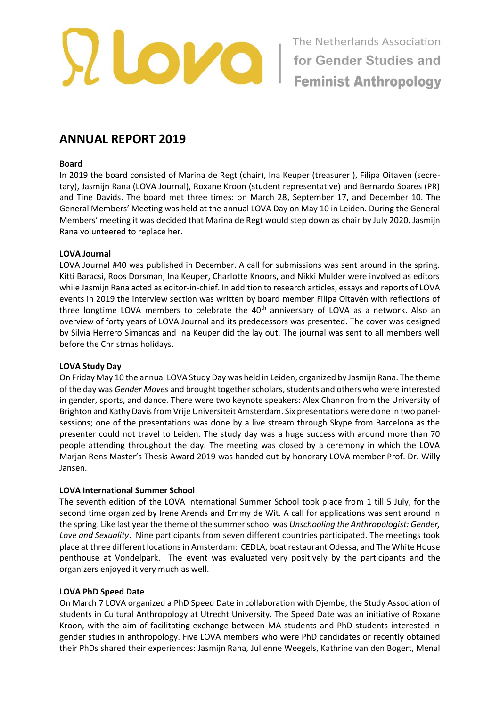

# **ANNUAL REPORT 2019**

#### **Board**

In 2019 the board consisted of Marina de Regt (chair), Ina Keuper (treasurer ), Filipa Oitaven (secretary), Jasmijn Rana (LOVA Journal), Roxane Kroon (student representative) and Bernardo Soares (PR) and Tine Davids. The board met three times: on March 28, September 17, and December 10. The General Members' Meeting was held at the annual LOVA Day on May 10 in Leiden. During the General Members' meeting it was decided that Marina de Regt would step down as chair by July 2020. Jasmijn Rana volunteered to replace her.

#### **LOVA Journal**

LOVA Journal #40 was published in December. A call for submissions was sent around in the spring. Kitti Baracsi, Roos Dorsman, Ina Keuper, Charlotte Knoors, and Nikki Mulder were involved as editors while Jasmijn Rana acted as editor-in-chief. In addition to research articles, essays and reports of LOVA events in 2019 the interview section was written by board member Filipa Oitavén with reflections of three longtime LOVA members to celebrate the 40<sup>th</sup> anniversary of LOVA as a network. Also an overview of forty years of LOVA Journal and its predecessors was presented. The cover was designed by Silvia Herrero Simancas and Ina Keuper did the lay out. The journal was sent to all members well before the Christmas holidays.

## **LOVA Study Day**

On Friday May 10 the annual LOVA Study Day was held in Leiden, organized by Jasmijn Rana. The theme of the day was *Gender Moves* and brought together scholars, students and others who were interested in gender, sports, and dance. There were two keynote speakers: Alex Channon from the University of Brighton and Kathy Davis from Vrije Universiteit Amsterdam. Six presentations were done in two panelsessions; one of the presentations was done by a live stream through Skype from Barcelona as the presenter could not travel to Leiden. The study day was a huge success with around more than 70 people attending throughout the day. The meeting was closed by a ceremony in which the LOVA Marjan Rens Master's Thesis Award 2019 was handed out by honorary LOVA member Prof. Dr. Willy Jansen.

## **LOVA International Summer School**

The seventh edition of the LOVA International Summer School took place from 1 till 5 July, for the second time organized by Irene Arends and Emmy de Wit. A call for applications was sent around in the spring. Like last year the theme of the summer school was *Unschooling the Anthropologist: Gender, Love and Sexuality*. Nine participants from seven different countries participated. The meetings took place at three different locations in Amsterdam: CEDLA, boat restaurant Odessa, and The White House penthouse at Vondelpark. The event was evaluated very positively by the participants and the organizers enjoyed it very much as well.

#### **LOVA PhD Speed Date**

On March 7 LOVA organized a PhD Speed Date in collaboration with Djembe, the Study Association of students in Cultural Anthropology at Utrecht University. The Speed Date was an initiative of Roxane Kroon, with the aim of facilitating exchange between MA students and PhD students interested in gender studies in anthropology. Five LOVA members who were PhD candidates or recently obtained their PhDs shared their experiences: Jasmijn Rana, Julienne Weegels, Kathrine van den Bogert, Menal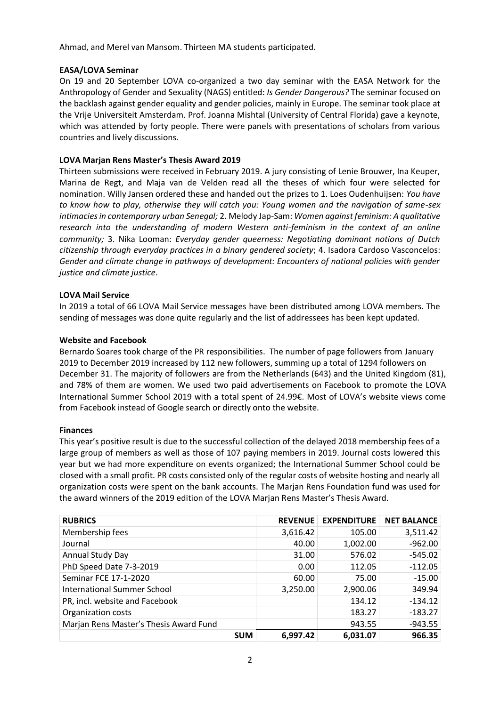Ahmad, and Merel van Mansom. Thirteen MA students participated.

# **EASA/LOVA Seminar**

On 19 and 20 September LOVA co-organized a two day seminar with the EASA Network for the Anthropology of Gender and Sexuality (NAGS) entitled: *Is Gender Dangerous?* The seminar focused on the backlash against gender equality and gender policies, mainly in Europe. The seminar took place at the Vrije Universiteit Amsterdam. Prof. Joanna Mishtal (University of Central Florida) gave a keynote, which was attended by forty people. There were panels with presentations of scholars from various countries and lively discussions.

# **LOVA Marjan Rens Master's Thesis Award 2019**

Thirteen submissions were received in February 2019. A jury consisting of Lenie Brouwer, Ina Keuper, Marina de Regt, and Maja van de Velden read all the theses of which four were selected for nomination. Willy Jansen ordered these and handed out the prizes to 1. Loes Oudenhuijsen: *You have to know how to play, otherwise they will catch you: Young women and the navigation of same-sex intimacies in contemporary urban Senegal;* 2. Melody Jap-Sam: *Women against feminism: A qualitative research into the understanding of modern Western anti-feminism in the context of an online community;* 3. Nika Looman: *Everyday gender queerness: Negotiating dominant notions of Dutch citizenship through everyday practices in a binary gendered society*; 4. Isadora Cardoso Vasconcelos: *Gender and climate change in pathways of development: Encounters of national policies with gender justice and climate justice*.

# **LOVA Mail Service**

In 2019 a total of 66 LOVA Mail Service messages have been distributed among LOVA members. The sending of messages was done quite regularly and the list of addressees has been kept updated.

# **Website and Facebook**

Bernardo Soares took charge of the PR responsibilities. The number of page followers from January 2019 to December 2019 increased by 112 new followers, summing up a total of 1294 followers on December 31. The majority of followers are from the Netherlands (643) and the United Kingdom (81), and 78% of them are women. We used two paid advertisements on Facebook to promote the LOVA International Summer School 2019 with a total spent of 24.99€. Most of LOVA's website views come from Facebook instead of Google search or directly onto the website.

## **Finances**

This year's positive result is due to the successful collection of the delayed 2018 membership fees of a large group of members as well as those of 107 paying members in 2019. Journal costs lowered this year but we had more expenditure on events organized; the International Summer School could be closed with a small profit. PR costs consisted only of the regular costs of website hosting and nearly all organization costs were spent on the bank accounts. The Marjan Rens Foundation fund was used for the award winners of the 2019 edition of the LOVA Marjan Rens Master's Thesis Award.

| <b>RUBRICS</b>                         | <b>REVENUE</b> | <b>EXPENDITURE</b> | <b>NET BALANCE</b> |
|----------------------------------------|----------------|--------------------|--------------------|
| Membership fees                        | 3,616.42       | 105.00             | 3,511.42           |
| Journal                                | 40.00          | 1,002.00           | $-962.00$          |
| Annual Study Day                       | 31.00          | 576.02             | $-545.02$          |
| PhD Speed Date 7-3-2019                | 0.00           | 112.05             | $-112.05$          |
| Seminar FCE 17-1-2020                  | 60.00          | 75.00              | $-15.00$           |
| <b>International Summer School</b>     | 3,250.00       | 2,900.06           | 349.94             |
| PR, incl. website and Facebook         |                | 134.12             | $-134.12$          |
| Organization costs                     |                | 183.27             | $-183.27$          |
| Marjan Rens Master's Thesis Award Fund |                | 943.55             | $-943.55$          |
| <b>SUM</b>                             | 6.997.42       | 6.031.07           | 966.35             |